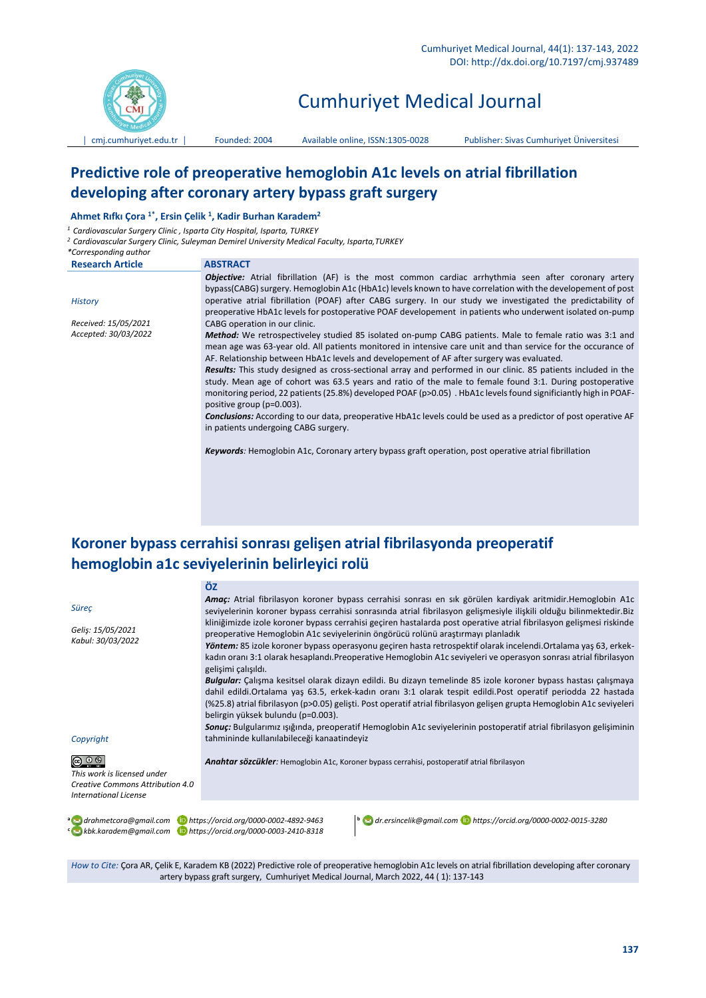

# Cumhuriyet Medical Journal

│ [cmj.cumhuriyet.edu.tr](http://xxx.cumhuriyet.edu.tr/) │ Founded: 2004 Available online, ISSN:1305-0028 Publisher: Sivas Cumhuriyet Üniversitesi

## **Predictive role of preoperative hemoglobin A1c levels on atrial fibrillation developing after coronary artery bypass graft surgery**

#### **Ahmet Rıfkı Çora 1\* , Ersin Çelik <sup>1</sup> , Kadir Burhan Karadem<sup>2</sup>**

*<sup>1</sup> Cardiovascular Surgery Clinic , Isparta City Hospital, Isparta, TURKEY*

*<sup>2</sup> Cardiovascular Surgery Clinic, Suleyman Demirel University Medical Faculty, Isparta,TURKEY*

| *Corresponding author   |                                                                                                                        |
|-------------------------|------------------------------------------------------------------------------------------------------------------------|
| <b>Research Article</b> | <b>ABSTRACT</b>                                                                                                        |
|                         | <b>Objective:</b> Atrial fibrillation (AF) is the most common cardiac arrhythmia seen after coronary artery            |
|                         | bypass(CABG) surgery. Hemoglobin A1c (HbA1c) levels known to have correlation with the developement of post            |
| History                 | operative atrial fibrillation (POAF) after CABG surgery. In our study we investigated the predictability of            |
|                         | preoperative HbA1c levels for postoperative POAF developement in patients who underwent isolated on-pump               |
| Received: 15/05/2021    | CABG operation in our clinic.                                                                                          |
| Accepted: 30/03/2022    | Method: We retrospectiveley studied 85 isolated on-pump CABG patients. Male to female ratio was 3:1 and                |
|                         | mean age was 63-year old. All patients monitored in intensive care unit and than service for the occurance of          |
|                         | AF. Relationship between HbA1c levels and developement of AF after surgery was evaluated.                              |
|                         | Results: This study designed as cross-sectional array and performed in our clinic. 85 patients included in the         |
|                         | study. Mean age of cohort was 63.5 years and ratio of the male to female found 3:1. During postoperative               |
|                         | monitoring period, 22 patients (25.8%) developed POAF (p>0.05). HbA1c levels found significiantly high in POAF-        |
|                         | positive group (p=0.003).                                                                                              |
|                         | <b>Conclusions:</b> According to our data, preoperative HbA1c levels could be used as a predictor of post operative AF |
|                         | in patients undergoing CABG surgery.                                                                                   |
|                         |                                                                                                                        |
|                         | <b>Keywords:</b> Hemoglobin A1c, Coronary artery bypass graft operation, post operative atrial fibrillation            |
|                         |                                                                                                                        |

## **Koroner bypass cerrahisi sonrası gelişen atrial fibrilasyonda preoperatif hemoglobin a1c seviyelerinin belirleyici rolü**

|                                                                                                                                   | ÖZ                                                                                                                                                                                                                                |  |  |  |  |
|-----------------------------------------------------------------------------------------------------------------------------------|-----------------------------------------------------------------------------------------------------------------------------------------------------------------------------------------------------------------------------------|--|--|--|--|
| Süreç                                                                                                                             | Amac: Atrial fibrilasyon koroner bypass cerrahisi sonrası en sık görülen kardiyak aritmidir.Hemoglobin A1c<br>seviyelerinin koroner bypass cerrahisi sonrasında atrial fibrilasyon gelişmesiyle ilişkili olduğu bilinmektedir.Biz |  |  |  |  |
| Gelis: 15/05/2021                                                                                                                 | kliniğimizde izole koroner bypass cerrahisi geçiren hastalarda post operative atrial fibrilasyon gelişmesi riskinde<br>preoperative Hemoglobin A1c seviyelerinin öngörücü rolünü araştırmayı planladık                            |  |  |  |  |
| Kabul: 30/03/2022                                                                                                                 | Yöntem: 85 izole koroner bypass operasyonu geçiren hasta retrospektif olarak incelendi. Ortalama yaş 63, erkek-                                                                                                                   |  |  |  |  |
|                                                                                                                                   | kadın oranı 3:1 olarak hesaplandı. Preoperative Hemoglobin A1c seviyeleri ve operasyon sonrası atrial fibrilasyon<br>gelişimi çalışıldı.                                                                                          |  |  |  |  |
|                                                                                                                                   | Bulgular: Çalışma kesitsel olarak dizayn edildi. Bu dizayn temelinde 85 izole koroner bypass hastası çalışmaya                                                                                                                    |  |  |  |  |
|                                                                                                                                   | dahil edildi. Ortalama yas 63.5, erkek-kadın oranı 3:1 olarak tespit edildi. Post operatif periodda 22 hastada                                                                                                                    |  |  |  |  |
|                                                                                                                                   | (%25.8) atrial fibrilasyon (p>0.05) gelişti. Post operatif atrial fibrilasyon gelişen grupta Hemoglobin A1c seviyeleri                                                                                                            |  |  |  |  |
|                                                                                                                                   |                                                                                                                                                                                                                                   |  |  |  |  |
|                                                                                                                                   | Sonuç: Bulgularımız ışığında, preoperatif Hemoglobin A1c seviyelerinin postoperatif atrial fibrilasyon gelişiminin                                                                                                                |  |  |  |  |
|                                                                                                                                   |                                                                                                                                                                                                                                   |  |  |  |  |
|                                                                                                                                   | Anahtar sözcükler: Hemoglobin A1c, Koroner bypass cerrahisi, postoperatif atrial fibrilasyon                                                                                                                                      |  |  |  |  |
|                                                                                                                                   |                                                                                                                                                                                                                                   |  |  |  |  |
|                                                                                                                                   |                                                                                                                                                                                                                                   |  |  |  |  |
|                                                                                                                                   |                                                                                                                                                                                                                                   |  |  |  |  |
| a drahmetcora@gmail.com bhttps://orcid.org/0000-0002-4892-9463<br>Lackbk.karadem@gmail.com Dhttps://orcid.org/0000-0003-2410-8318 | b ar.ersincelik@gmail.com D https://orcid.org/0000-0002-0015-3280                                                                                                                                                                 |  |  |  |  |
| Copyright<br>This work is licensed under<br>Creative Commons Attribution 4.0<br><b>International License</b>                      | belirgin yüksek bulundu (p=0.003).<br>tahmininde kullanılabileceği kanaatindeyiz                                                                                                                                                  |  |  |  |  |

*How to Cite:* Çora AR, Çelik E, Karadem KB (2022) Predictive role of preoperative hemoglobin A1c levels on atrial fibrillation developing after coronary artery bypass graft surgery, Cumhuriyet Medical Journal, March 2022, 44 ( 1): 137-143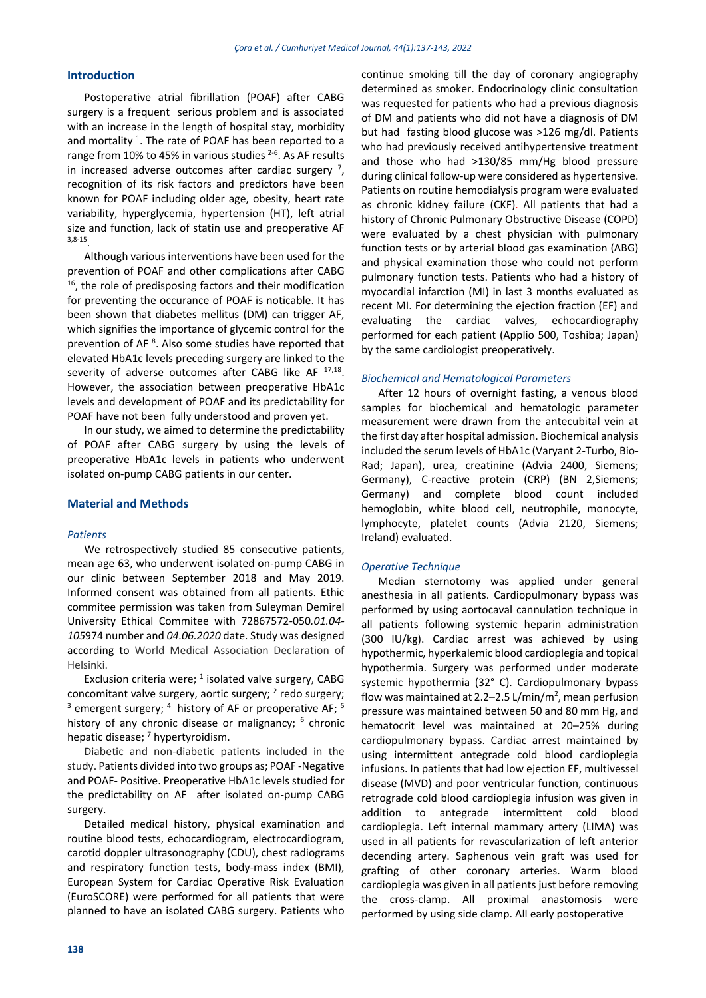## **Introduction**

Postoperative atrial fibrillation (POAF) after CABG surgery is a frequent serious problem and is associated with an increase in the length of hospital stay, morbidity and mortality<sup>1</sup>. The rate of POAF has been reported to a range from 10% to 45% in various studies <sup>2-6</sup>. As AF results in increased adverse outcomes after cardiac surgery  $^7$ , recognition of its risk factors and predictors have been known for POAF including older age, obesity, heart rate variability, hyperglycemia, hypertension (HT), left atrial size and function, lack of statin use and preoperative AF 3,8-15 .

Although various interventions have been used for the prevention of POAF and other complications after CABG <sup>16</sup>, the role of predisposing factors and their modification for preventing the occurance of POAF is noticable. It has been shown that diabetes mellitus (DM) can trigger AF, which signifies the importance of glycemic control for the prevention of AF<sup>8</sup>. Also some studies have reported that elevated HbA1c levels preceding surgery are linked to the severity of adverse outcomes after CABG like AF 17,18. However, the association between preoperative HbA1c levels and development of POAF and its predictability for POAF have not been fully understood and proven yet.

In our study, we aimed to determine the predictability of POAF after CABG surgery by using the levels of preoperative HbA1c levels in patients who underwent isolated on-pump CABG patients in our center.

## **Material and Methods**

#### *Patients*

We retrospectively studied 85 consecutive patients, mean age 63, who underwent isolated on-pump CABG in our clinic between September 2018 and May 2019. Informed consent was obtained from all patients. Ethic commitee permission was taken from Suleyman Demirel University Ethical Commitee with 72867572-050*.01.04- 105*974 number and *04.06.2020* date. Study was designed according to World Medical Association Declaration of Helsinki.

Exclusion criteria were;  $1$  isolated valve surgery, CABG concomitant valve surgery, aortic surgery;  $2$  redo surgery;  $3$  emergent surgery;  $4$  history of AF or preoperative AF;  $5$ history of any chronic disease or malignancy; <sup>6</sup> chronic hepatic disease;  $<sup>7</sup>$  hypertyroidism.</sup>

Diabetic and non-diabetic patients included in the study. Patients divided into two groups as; POAF -Negative and POAF- Positive. Preoperative HbA1c levels studied for the predictability on AF after isolated on-pump CABG surgery.

Detailed medical history, physical examination and routine blood tests, echocardiogram, electrocardiogram, carotid doppler ultrasonography (CDU), chest radiograms and respiratory function tests, body-mass index (BMI), European System for Cardiac Operative Risk Evaluation (EuroSCORE) were performed for all patients that were planned to have an isolated CABG surgery. Patients who continue smoking till the day of coronary angiography determined as smoker. Endocrinology clinic consultation was requested for patients who had a previous diagnosis of DM and patients who did not have a diagnosis of DM but had fasting blood glucose was >126 mg/dl. Patients who had previously received antihypertensive treatment and those who had >130/85 mm/Hg blood pressure during clinical follow-up were considered as hypertensive. Patients on routine hemodialysis program were evaluated as chronic kidney failure (CKF). All patients that had a history of Chronic Pulmonary Obstructive Disease (COPD) were evaluated by a chest physician with pulmonary function tests or by arterial blood gas examination (ABG) and physical examination those who could not perform pulmonary function tests. Patients who had a history of myocardial infarction (MI) in last 3 months evaluated as recent MI. For determining the ejection fraction (EF) and evaluating the cardiac valves, echocardiography performed for each patient (Applio 500, Toshiba; Japan) by the same cardiologist preoperatively.

#### *Biochemical and Hematological Parameters*

After 12 hours of overnight fasting, a venous blood samples for biochemical and hematologic parameter measurement were drawn from the antecubital vein at the first day after hospital admission. Biochemical analysis included the serum levels of HbA1c (Varyant 2-Turbo, Bio-Rad; Japan), urea, creatinine (Advia 2400, Siemens; Germany), C-reactive protein (CRP) (BN 2,Siemens; Germany) and complete blood count included hemoglobin, white blood cell, neutrophile, monocyte, lymphocyte, platelet counts (Advia 2120, Siemens; Ireland) evaluated.

#### *Operative Technique*

Median sternotomy was applied under general anesthesia in all patients. Cardiopulmonary bypass was performed by using aortocaval cannulation technique in all patients following systemic heparin administration (300 IU/kg). Cardiac arrest was achieved by using hypothermic, hyperkalemic blood cardioplegia and topical hypothermia. Surgery was performed under moderate systemic hypothermia (32° C). Cardiopulmonary bypass flow was maintained at 2.2–2.5 L/min/m<sup>2</sup>, mean perfusion pressure was maintained between 50 and 80 mm Hg, and hematocrit level was maintained at 20–25% during cardiopulmonary bypass. Cardiac arrest maintained by using intermittent antegrade cold blood cardioplegia infusions. In patients that had low ejection EF, multivessel disease (MVD) and poor ventricular function, continuous retrograde cold blood cardioplegia infusion was given in addition to antegrade intermittent cold blood cardioplegia. Left internal mammary artery (LIMA) was used in all patients for revascularization of left anterior decending artery. Saphenous vein graft was used for grafting of other coronary arteries. Warm blood cardioplegia was given in all patients just before removing the cross-clamp. All proximal anastomosis were performed by using side clamp. All early postoperative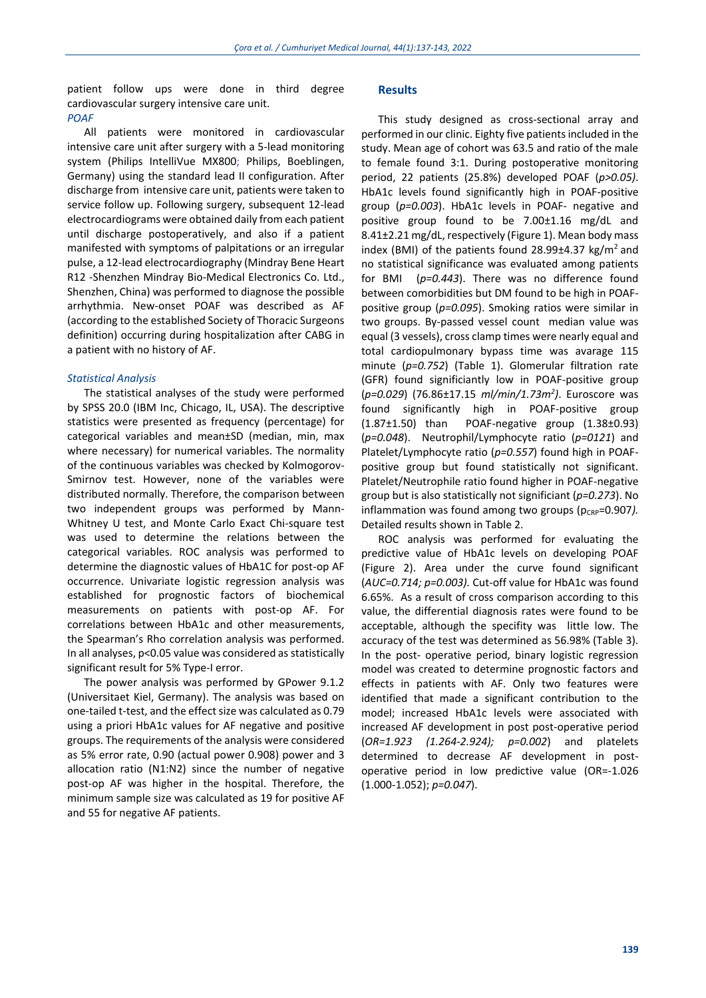patient follow ups were done in third degree cardiovascular surgery intensive care unit.

## *POAF*

All patients were monitored in cardiovascular intensive care unit after surgery with a 5-lead monitoring system (Philips IntelliVue MX800; Philips, Boeblingen, Germany) using the standard lead II configuration. After discharge from intensive care unit, patients were taken to service follow up. Following surgery, subsequent 12-lead electrocardiograms were obtained daily from each patient until discharge postoperatively, and also if a patient manifested with symptoms of palpitations or an irregular pulse, a 12-lead electrocardiography (Mindray Bene Heart R12 -Shenzhen Mindray Bio-Medical Electronics Co. Ltd., Shenzhen, China) was performed to diagnose the possible arrhythmia. New-onset POAF was described as AF (according to the established Society of Thoracic Surgeons definition) occurring during hospitalization after CABG in a patient with no history of AF.

#### *Statistical Analysis*

The statistical analyses of the study were performed by SPSS 20.0 (IBM Inc, Chicago, IL, USA). The descriptive statistics were presented as frequency (percentage) for categorical variables and mean±SD (median, min, max where necessary) for numerical variables. The normality of the continuous variables was checked by Kolmogorov-Smirnov test. However, none of the variables were distributed normally. Therefore, the comparison between two independent groups was performed by Mann-Whitney U test, and Monte Carlo Exact Chi-square test was used to determine the relations between the categorical variables. ROC analysis was performed to determine the diagnostic values of HbA1C for post-op AF occurrence. Univariate logistic regression analysis was established for prognostic factors of biochemical measurements on patients with post-op AF. For correlations between HbA1c and other measurements, the Spearman's Rho correlation analysis was performed. In all analyses, p<0.05 value was considered as statistically significant result for 5% Type-I error.

The power analysis was performed by GPower 9.1.2 (Universitaet Kiel, Germany). The analysis was based on one-tailed t-test, and the effect size was calculated as 0.79 using a priori HbA1c values for AF negative and positive groups. The requirements of the analysis were considered as 5% error rate, 0.90 (actual power 0.908) power and 3 allocation ratio (N1:N2) since the number of negative post-op AF was higher in the hospital. Therefore, the minimum sample size was calculated as 19 for positive AF and 55 for negative AF patients.

### **Results**

This study designed as cross-sectional array and performed in our clinic. Eighty five patients included in the study. Mean age of cohort was 63.5 and ratio of the male to female found 3:1. During postoperative monitoring period, 22 patients (25.8%) developed POAF (*p>0.05)*. HbA1c levels found significantly high in POAF-positive group (*p=0.003*). HbA1c levels in POAF- negative and positive group found to be 7.00±1.16 mg/dL and 8.41±2.21 mg/dL, respectively (Figure 1). Mean body mass index (BMI) of the patients found  $28.99\pm4.37$  kg/m<sup>2</sup> and no statistical significance was evaluated among patients for BMI (*p=0.443*). There was no difference found between comorbidities but DM found to be high in POAFpositive group (*p=0.095*). Smoking ratios were similar in two groups. By-passed vessel count median value was equal (3 vessels), cross clamp times were nearly equal and total cardiopulmonary bypass time was avarage 115 minute (*p=0.752*) (Table 1). Glomerular filtration rate (GFR) found significiantly low in POAF-positive group (*p=0.029*) (76.86±17.15 *ml/min/1.73m<sup>2</sup> )*. Euroscore was found significantly high in POAF-positive group (1.87±1.50) than POAF-negative group (1.38±0.93) (*p=0.048*). Neutrophil/Lymphocyte ratio (*p=0121*) and Platelet/Lymphocyte ratio (*p=0.557*) found high in POAFpositive group but found statistically not significant. Platelet/Neutrophile ratio found higher in POAF-negative group but is also statistically not significiant (*p=0.273*). No inflammation was found among two groups (p<sub>CRP</sub>=0.907). Detailed results shown in Table 2.

ROC analysis was performed for evaluating the predictive value of HbA1c levels on developing POAF (Figure 2). Area under the curve found significant (*AUC=0.714; p=0.003).* Cut-off value for HbA1c was found 6.65%. As a result of cross comparison according to this value, the differential diagnosis rates were found to be acceptable, although the specifity was little low. The accuracy of the test was determined as 56.98% (Table 3). In the post- operative period, binary logistic regression model was created to determine prognostic factors and effects in patients with AF. Only two features were identified that made a significant contribution to the model; increased HbA1c levels were associated with increased AF development in post post-operative period (*OR=1.923 (1.264-2.924); p=0.002*) and platelets determined to decrease AF development in postoperative period in low predictive value (OR=-1.026 (1.000-1.052); *p=0.047*).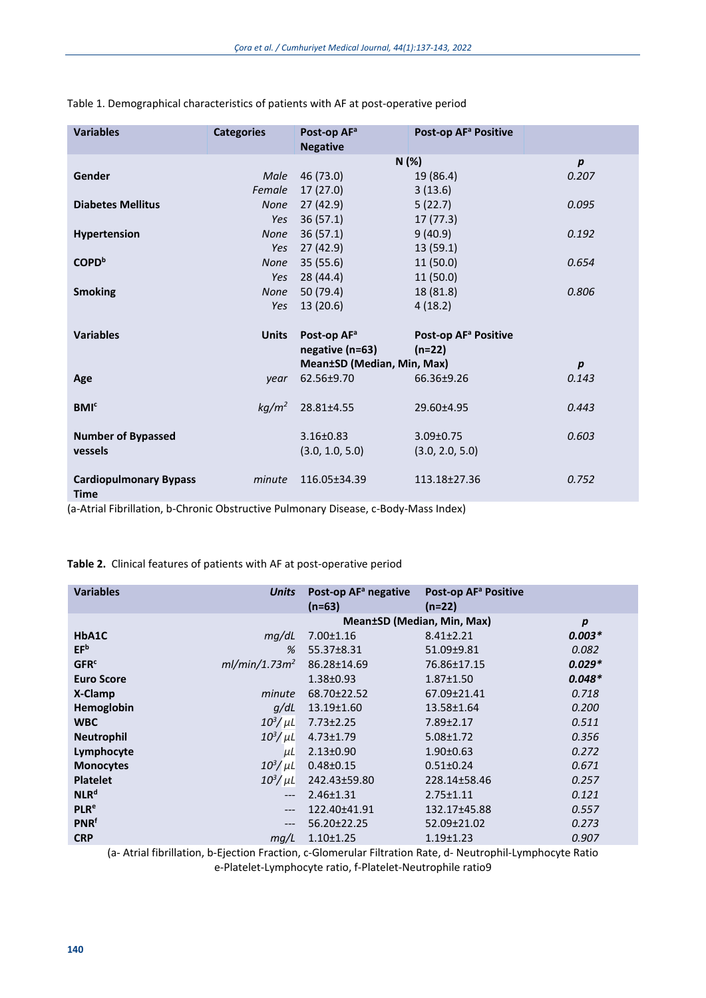| <b>Variables</b>                             | <b>Categories</b> | Post-op AF <sup>a</sup><br><b>Negative</b> | Post-op AF <sup>a</sup> Positive |                  |
|----------------------------------------------|-------------------|--------------------------------------------|----------------------------------|------------------|
|                                              |                   |                                            | N (%)                            | $\boldsymbol{p}$ |
| Gender                                       | Male              | 46 (73.0)                                  | 19 (86.4)                        | 0.207            |
|                                              | Female            | 17(27.0)                                   | 3(13.6)                          |                  |
| <b>Diabetes Mellitus</b>                     | <b>None</b>       | 27(42.9)                                   | 5(22.7)                          | 0.095            |
|                                              | Yes               | 36(57.1)                                   | 17(77.3)                         |                  |
| Hypertension                                 | <b>None</b>       | 36(57.1)                                   | 9(40.9)                          | 0.192            |
|                                              | Yes               | 27 (42.9)                                  | 13(59.1)                         |                  |
| COPD <sup>b</sup>                            | <b>None</b>       | 35(55.6)                                   | 11(50.0)                         | 0.654            |
|                                              | Yes               | 28 (44.4)                                  | 11(50.0)                         |                  |
| <b>Smoking</b>                               | <b>None</b>       | 50 (79.4)                                  | 18 (81.8)                        | 0.806            |
|                                              | Yes               | 13(20.6)                                   | 4(18.2)                          |                  |
| <b>Variables</b>                             | <b>Units</b>      | Post-op AF <sup>a</sup>                    | Post-op AF <sup>a</sup> Positive |                  |
|                                              |                   | negative (n=63)                            | $(n=22)$                         |                  |
|                                              |                   | Mean±SD (Median, Min, Max)                 |                                  | $\boldsymbol{p}$ |
| Age                                          | year              | 62.56±9.70                                 | 66.36±9.26                       | 0.143            |
| BM <sup>c</sup>                              | kg/m <sup>2</sup> | 28.81±4.55                                 | 29.60±4.95                       | 0.443            |
| <b>Number of Bypassed</b>                    |                   | $3.16 \pm 0.83$                            | $3.09 \pm 0.75$                  | 0.603            |
| vessels                                      |                   | (3.0, 1.0, 5.0)                            | (3.0, 2.0, 5.0)                  |                  |
| <b>Cardiopulmonary Bypass</b><br><b>Time</b> | minute            | 116.05±34.39                               | 113.18±27.36                     | 0.752            |

## Table 1. Demographical characteristics of patients with AF at post-operative period

(a-Atrial Fibrillation, b-Chronic Obstructive Pulmonary Disease, c-Body-Mass Index)

**Table 2.** Clinical features of patients with AF at post-operative period

| <b>Variables</b>       | <b>Units</b>              | Post-op AF <sup>a</sup> negative | Post-op AF <sup>a</sup> Positive |                  |
|------------------------|---------------------------|----------------------------------|----------------------------------|------------------|
|                        |                           | $(n=63)$                         | $(n=22)$                         |                  |
|                        |                           | Mean±SD (Median, Min, Max)       |                                  | $\boldsymbol{p}$ |
| HbA1C                  | mq/dL                     | 7.00±1.16                        | $8.41 \pm 2.21$                  | $0.003*$         |
| EF <sup>b</sup>        | %                         | 55.37±8.31                       | 51.09±9.81                       | 0.082            |
| <b>GFR<sup>c</sup></b> | ml/min/1.73m <sup>2</sup> | 86.28±14.69                      | 76.86±17.15                      | $0.029*$         |
| <b>Euro Score</b>      |                           | 1.38±0.93                        | $1.87 \pm 1.50$                  | $0.048*$         |
| X-Clamp                | minute                    | 68.70±22.52                      | 67.09±21.41                      | 0.718            |
| Hemoglobin             | q/dL                      | 13.19±1.60                       | 13.58±1.64                       | 0.200            |
| <b>WBC</b>             | $10^3/\mu L$              | $7.73 \pm 2.25$                  | 7.89±2.17                        | 0.511            |
| <b>Neutrophil</b>      | $10^3/\mu$ L              | $4.73 \pm 1.79$                  | $5.08 \pm 1.72$                  | 0.356            |
| Lymphocyte             | $\mu$ L                   | $2.13 \pm 0.90$                  | $1.90 \pm 0.63$                  | 0.272            |
| <b>Monocytes</b>       | $10^3/\mu L$              | $0.48 \pm 0.15$                  | $0.51 \pm 0.24$                  | 0.671            |
| <b>Platelet</b>        | $10^3/\mu$ L              | 242.43±59.80                     | 228.14±58.46                     | 0.257            |
| NLR <sup>d</sup>       | $---$                     | $2.46 \pm 1.31$                  | $2.75 \pm 1.11$                  | 0.121            |
| <b>PLR<sup>e</sup></b> | $---$                     | 122.40±41.91                     | 132.17±45.88                     | 0.557            |
| <b>PNR</b> f           | $---$                     | 56.20±22.25                      | 52.09±21.02                      | 0.273            |
| <b>CRP</b>             | mg/L                      | $1.10 \pm 1.25$                  | $1.19 \pm 1.23$                  | 0.907            |

(a- Atrial fibrillation, b-Ejection Fraction, c-Glomerular Filtration Rate, d- Neutrophil-Lymphocyte Ratio e-Platelet-Lymphocyte ratio, f-Platelet-Neutrophile ratio9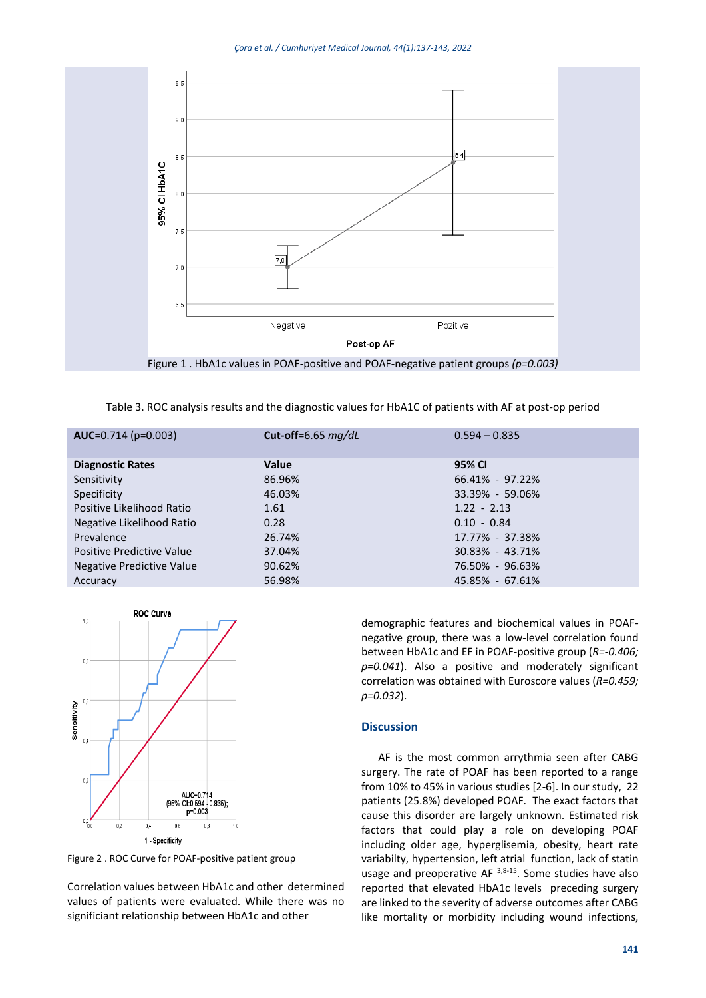

Table 3. ROC analysis results and the diagnostic values for HbA1C of patients with AF at post-op period

| $AUC=0.714(p=0.003)$      | Cut-off=6.65 $mq/dL$ | $0.594 - 0.835$ |
|---------------------------|----------------------|-----------------|
| <b>Diagnostic Rates</b>   | Value                | 95% CI          |
| Sensitivity               | 86.96%               | 66.41% - 97.22% |
| Specificity               | 46.03%               | 33.39% - 59.06% |
| Positive Likelihood Ratio | 1.61                 | $1.22 - 2.13$   |
| Negative Likelihood Ratio | 0.28                 | $0.10 - 0.84$   |
| Prevalence                | 26.74%               | 17.77% - 37.38% |
| Positive Predictive Value | 37.04%               | 30.83% - 43.71% |
| Negative Predictive Value | 90.62%               | 76.50% - 96.63% |
| Accuracy                  | 56.98%               | 45.85% - 67.61% |
|                           |                      |                 |



Figure 2 . ROC Curve for POAF-positive patient group

Correlation values between HbA1c and other determined values of patients were evaluated. While there was no significiant relationship between HbA1c and other

demographic features and biochemical values in POAFnegative group, there was a low-level correlation found between HbA1c and EF in POAF-positive group (*R=-0.406; p=0.041*). Also a positive and moderately significant correlation was obtained with Euroscore values (*R=0.459; p=0.032*).

## **Discussion**

AF is the most common arrythmia seen after CABG surgery. The rate of POAF has been reported to a range from 10% to 45% in various studies [2-6]. In our study, 22 patients (25.8%) developed POAF. The exact factors that cause this disorder are largely unknown. Estimated risk factors that could play a role on developing POAF including older age, hyperglisemia, obesity, heart rate variabilty, hypertension, left atrial function, lack of statin usage and preoperative AF  $3,8-15$ . Some studies have also reported that elevated HbA1c levels preceding surgery are linked to the severity of adverse outcomes after CABG like mortality or morbidity including wound infections,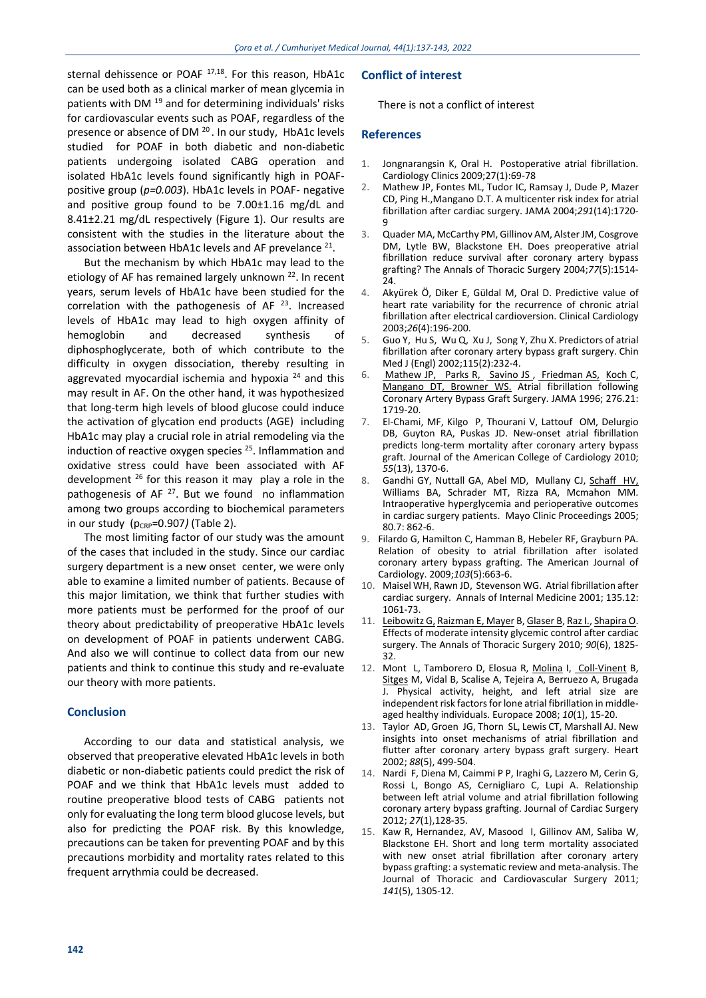sternal dehissence or POAF<sup>17,18</sup>. For this reason, HbA1c can be used both as a clinical marker of mean glycemia in patients with DM <sup>19</sup> and for determining individuals' risks for cardiovascular events such as POAF, regardless of the presence or absence of DM <sup>20</sup>. In our study, HbA1c levels studied for POAF in both diabetic and non-diabetic patients undergoing isolated CABG operation and isolated HbA1c levels found significantly high in POAFpositive group (*p=0.003*). HbA1c levels in POAF- negative and positive group found to be 7.00±1.16 mg/dL and 8.41±2.21 mg/dL respectively (Figure 1). Our results are consistent with the studies in the literature about the association between HbA1c levels and AF prevelance  $^{21}$ .

But the mechanism by which HbA1c may lead to the etiology of AF has remained largely unknown<sup>22</sup>. In recent years, serum levels of HbA1c have been studied for the correlation with the pathogenesis of  $AF<sup>23</sup>$ . Increased levels of HbA1c may lead to high oxygen affinity of hemoglobin and decreased synthesis of diphosphoglycerate, both of which contribute to the difficulty in oxygen dissociation, thereby resulting in aggrevated myocardial ischemia and hypoxia  $24$  and this may result in AF. On the other hand, it was hypothesized that long-term high levels of blood glucose could induce the activation of glycation end products (AGE) including HbA1c may play a crucial role in atrial remodeling via the induction of reactive oxygen species <sup>25</sup>. Inflammation and oxidative stress could have been associated with AF development  $26$  for this reason it may play a role in the pathogenesis of AF<sup>27</sup>. But we found no inflammation among two groups according to biochemical parameters in our study ( $p_{CRP}$ =0.907) (Table 2).

The most limiting factor of our study was the amount of the cases that included in the study. Since our cardiac surgery department is a new onset center, we were only able to examine a limited number of patients. Because of this major limitation, we think that further studies with more patients must be performed for the proof of our theory about predictability of preoperative HbA1c levels on development of POAF in patients underwent CABG. And also we will continue to collect data from our new patients and think to continue this study and re-evaluate our theory with more patients.

#### **Conclusion**

According to our data and statistical analysis, we observed that preoperative elevated HbA1c levels in both diabetic or non-diabetic patients could predict the risk of POAF and we think that HbA1c levels must added to routine preoperative blood tests of CABG patients not only for evaluating the long term blood glucose levels, but also for predicting the POAF risk. By this knowledge, precautions can be taken for preventing POAF and by this precautions morbidity and mortality rates related to this frequent arrythmia could be decreased.

## **Conflict of interest**

There is not a conflict of interest

#### **References**

- 1. Jongnarangsin K, Oral H. Postoperative atrial fibrillation. Cardiology Clinics 2009;27(1):69-78
- 2. Mathew JP, Fontes ML, Tudor IC, Ramsay J, Dude P, Mazer CD, [Ping H.,](https://jamanetwork.com/searchresults?author=Ping+H.+Hsu&q=Ping+H.+Hsu)Mangano D.T. A multicenter risk index for atrial fibrillation after cardiac surgery. JAMA 2004;*291*(14):1720- 9
- 3. Quader MA, McCarthy PM, Gillinov AM, Alster JM, Cosgrove DM, Lytle BW, Blackstone EH. Does preoperative atrial fibrillation reduce survival after coronary artery bypass grafting? The Annals of Thoracic Surgery 2004;*77*(5):1514- 24.
- 4. Akyürek Ö, Diker E, Güldal M, Oral D. Predictive value of heart rate variability for the recurrence of chronic atrial fibrillation after electrical cardioversion. Clinical Cardiology 2003;*26*(4):196-200.
- 5. [Guo](https://pubmed.ncbi.nlm.nih.gov/?term=Guo+Y&cauthor_id=11940338) Y, [Hu](https://pubmed.ncbi.nlm.nih.gov/?term=Hu+S&cauthor_id=11940338) S, [Wu](https://pubmed.ncbi.nlm.nih.gov/?term=Wu+Q&cauthor_id=11940338) Q, [Xu](https://pubmed.ncbi.nlm.nih.gov/?term=Xu+J&cauthor_id=11940338) J, [Song](https://pubmed.ncbi.nlm.nih.gov/?term=Song+Y&cauthor_id=11940338) Y, [Zhu](https://pubmed.ncbi.nlm.nih.gov/?term=Zhu+X&cauthor_id=11940338) X. Predictors of atrial fibrillation after coronary artery bypass graft surgery. Chin Med J (Engl) 2002;115(2):232‐4.
- 6. [Mathew JP, Parks R,](https://jamanetwork.com/searchresults?author=Joseph+P.+Mathew&q=Joseph+P.+Mathew#_blank) Savino JS, [Friedman AS,](https://jamanetwork.com/searchresults?author=Arnold+S.+Friedman&q=Arnold+S.+Friedman#_blank) [Koch C](https://jamanetwork.com/searchresults?author=Colleen+Koch&q=Colleen+Koch#_blank), [Mangano DT,](https://jamanetwork.com/searchresults?author=Dennis+T.+Mangano&q=Dennis+T.+Mangano#_blank) Browner WS. Atrial fibrillation following Coronary Artery Bypass Graft Surgery. JAMA 1996; 276.21: 1719-20.
- 7. El-Chami, MF, Kilgo P, Thourani V, Lattouf OM, Delurgio DB, Guyton RA, Puskas JD. New-onset atrial fibrillation predicts long-term mortality after coronary artery bypass graft. Journal of the American College of Cardiology 2010; *55*(13), 1370-6.
- 8. Gandhi GY, Nuttall GA, Abel MD, Mullany CJ, [Schaff HV,](https://www.sciencedirect.com/science/article/abs/pii/S0025619611615607#!) Williams BA, Schrader MT, Rizza RA, Mcmahon MM. Intraoperative hyperglycemia and perioperative outcomes in cardiac surgery patients. Mayo Clinic Proceedings 2005; 80.7: 862-6.
- 9. Filardo G, Hamilton C, Hamman B, Hebeler RF, Grayburn PA. Relation of obesity to atrial fibrillation after isolated coronary artery bypass grafting. The American Journal of Cardiology. 2009;103(5):663-6.<br>10 Maisel WH Rawn ID Stevensc
- Maisel WH, Rawn JD, Stevenson WG. Atrial fibrillation after cardiac surgery. Annals of Internal Medicine 2001; 135.12: 1061-73.
- 11. [Leibowitz G,](https://www.sciencedirect.com/science/article/abs/pii/S0003497510016747#!) [Raizman E, Mayer](https://www.sciencedirect.com/science/article/abs/pii/S0003497510016747#!) B[, Glaser B, Raz I., Shapira O.](https://www.sciencedirect.com/science/article/abs/pii/S0003497510016747#!) Effects of moderate intensity glycemic control after cardiac surgery. The Annals of Thoracic Surgery 2010; *90*(6), 1825- 32.
- 12. Mont L, Tamborero D, Elosua R, [Molina](javascript:;) I, [Coll-Vinent](javascript:;) B, [Sitges](javascript:;) M, Vidal B, Scalise A, Tejeira A, Berruezo A, Brugada J. Physical activity, height, and left atrial size are independent risk factors for lone atrial fibrillation in middleaged healthy individuals. Europace 2008; *10*(1), 15-20.
- 13. Taylor AD, Groen JG, Thorn SL, Lewis CT, Marshall AJ. New insights into onset mechanisms of atrial fibrillation and flutter after coronary artery bypass graft surgery. Heart 2002; *88*(5), 499-504.
- 14. Nardi F, Diena M, Caimmi P P, Iraghi G, Lazzero M, Cerin G, Rossi L, Bongo AS, Cernigliaro C, Lupi A. Relationship between left atrial volume and atrial fibrillation following coronary artery bypass grafting. Journal of Cardiac Surgery 2012; *27*(1),128-35.
- 15. Kaw R, Hernandez, AV, Masood I, Gillinov AM, Saliba W, Blackstone EH. Short and long term mortality associated with new onset atrial fibrillation after coronary artery bypass grafting: a systematic review and meta-analysis. The Journal of Thoracic and Cardiovascular Surgery 2011; *141*(5), 1305-12.